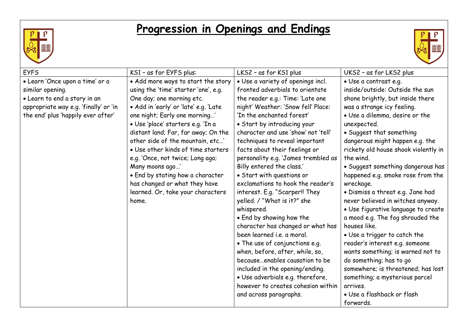

## **Progression in Openings and Endings**



| <b>EYFS</b>                           | KS1 - as for EYFS plus:               | LKS2 - as for KS1 plus              | UKS2 - as for LKS2 plus              |
|---------------------------------------|---------------------------------------|-------------------------------------|--------------------------------------|
| · Learn 'Once upon a time' or a       | • Add more ways to start the story    | • Use a variety of openings incl.   | · Use a contrast e.g.                |
| similar opening.                      | using the 'time' starter 'one', e.g.  | fronted adverbials to orientate     | inside/outside: Outside the sun      |
| · Learn to end a story in an          | One day; one morning etc.             | the reader e.g.: Time: 'Late one    | shone brightly, but inside there     |
| appropriate way e.g. 'finally' or 'in | • Add in 'early' or 'late' e.g. 'Late | night' Weather: 'Snow fell' Place:  | was a strange icy feeling.           |
| the end' plus 'happily ever after'    | one night; Early one morning'         | 'In the enchanted forest'           | • Use a dilemma, desire or the       |
|                                       | · Use 'place' starters e.g. 'In a     | • Start by introducing your         | unexpected.                          |
|                                       | distant land; Far, far away; On the   | character and use 'show' not 'tell' | • Suggest that something             |
|                                       | other side of the mountain, etc'      | techniques to reveal important      | dangerous might happen e.g. the      |
|                                       | • Use other kinds of time starters    | facts about their feelings or       | rickety old house shook violently in |
|                                       | e.g. 'Once, not twice; Long ago;      | personality e.g. 'James trembled as | the wind.                            |
|                                       | Many moons ago'                       | Billy entered the class.'           | · Suggest something dangerous has    |
|                                       | • End by stating how a character      | • Start with questions or           | happened e.g. smoke rose from the    |
|                                       | has changed or what they have         | exclamations to hook the reader's   | wreckage.                            |
|                                       | learned. Or, take your characters     | interest. E.g. "Scarper!! They      | • Dismiss a threat e.g. Jane had     |
|                                       | home.                                 | yelled. / "What is it?" she         | never believed in witches anyway.    |
|                                       |                                       | whispered.                          | · Use figurative language to create  |
|                                       |                                       | . End by showing how the            | a mood e.g. The fog shrouded the     |
|                                       |                                       | character has changed or what has   | houses like.                         |
|                                       |                                       | been learned i.e. a moral.          | • Use a trigger to catch the         |
|                                       |                                       | • The use of conjunctions e.g.      | reader's interest e.g. someone       |
|                                       |                                       | when, before, after, while, so,     | wants something; is warned not to    |
|                                       |                                       | becauseenables causation to be      | do something; has to go              |
|                                       |                                       | included in the opening/ending.     | somewhere; is threatened; has lost   |
|                                       |                                       | · Use adverbials e.g. therefore,    | something; a mysterious parcel       |
|                                       |                                       | however to creates cohesion within  | arrives.                             |
|                                       |                                       | and across paragraphs.              | • Use a flashback or flash           |
|                                       |                                       |                                     | forwards.                            |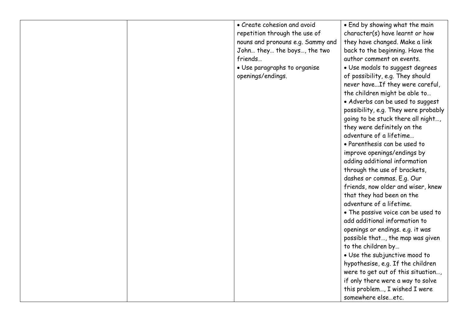|  | • Create cohesion and avoid       | • End by showing what the main       |
|--|-----------------------------------|--------------------------------------|
|  | repetition through the use of     | character(s) have learnt or how      |
|  | nouns and pronouns e.g. Sammy and | they have changed. Make a link       |
|  | John they the boys, the two       | back to the beginning. Have the      |
|  | friends                           | author comment on events.            |
|  | • Use paragraphs to organise      | · Use modals to suggest degrees      |
|  | openings/endings.                 | of possibility, e.g. They should     |
|  |                                   | never haveIf they were careful,      |
|  |                                   | the children might be able to        |
|  |                                   | • Adverbs can be used to suggest     |
|  |                                   | possibility, e.g. They were probably |
|  |                                   | going to be stuck there all night,   |
|  |                                   | they were definitely on the          |
|  |                                   | adventure of a lifetime              |
|  |                                   | • Parenthesis can be used to         |
|  |                                   | improve openings/endings by          |
|  |                                   | adding additional information        |
|  |                                   | through the use of brackets,         |
|  |                                   | dashes or commas. E.g. Our           |
|  |                                   | friends, now older and wiser, knew   |
|  |                                   |                                      |
|  |                                   | that they had been on the            |
|  |                                   | adventure of a lifetime.             |
|  |                                   | • The passive voice can be used to   |
|  |                                   | add additional information to        |
|  |                                   | openings or endings. e.g. it was     |
|  |                                   | possible that, the map was given     |
|  |                                   | to the children by                   |
|  |                                   | • Use the subjunctive mood to        |
|  |                                   | hypothesise, e.g. If the children    |
|  |                                   | were to get out of this situation,   |
|  |                                   | if only there were a way to solve    |
|  |                                   | this problem, I wished I were        |
|  |                                   | somewhere elseetc.                   |